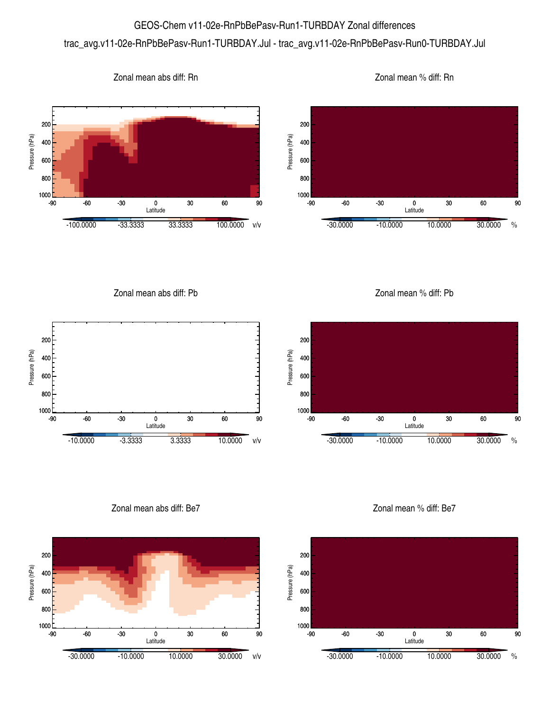## GEOS-Chem v11-02e-RnPbBePasv-Run1-TURBDAY Zonal differences trac\_avg.v11-02e-RnPbBePasv-Run1-TURBDAY.Jul - trac\_avg.v11-02e-RnPbBePasv-Run0-TURBDAY.Jul



Zonal mean abs diff: Rn



Zonal mean abs diff: Pb



Zonal mean % diff: Pb



Zonal mean abs diff: Be7



Zonal mean % diff: Be7



Zonal mean % diff: Rn